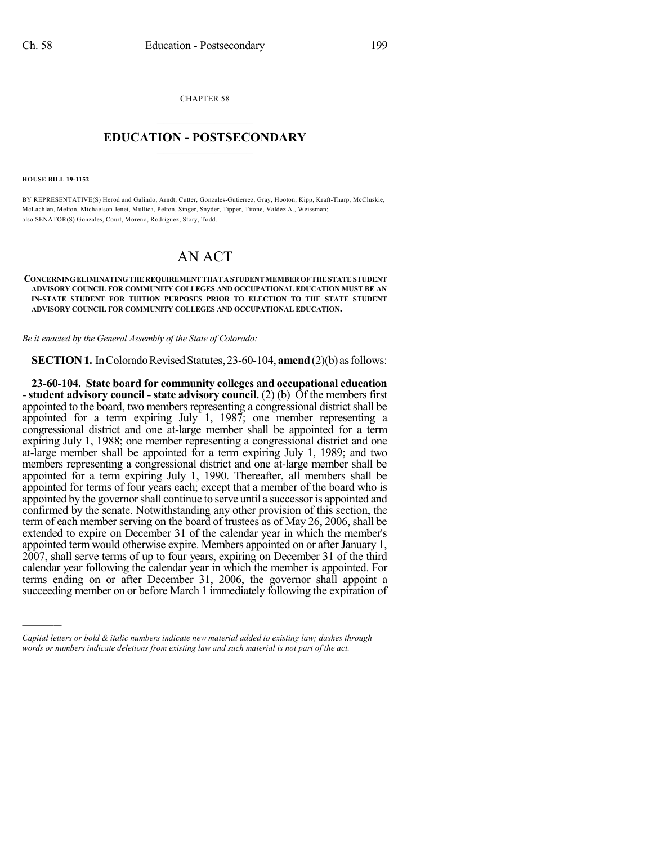CHAPTER 58  $\mathcal{L}_\text{max}$  . The set of the set of the set of the set of the set of the set of the set of the set of the set of the set of the set of the set of the set of the set of the set of the set of the set of the set of the set

## **EDUCATION - POSTSECONDARY**  $\_$   $\_$   $\_$   $\_$   $\_$   $\_$   $\_$   $\_$   $\_$

**HOUSE BILL 19-1152**

)))))

BY REPRESENTATIVE(S) Herod and Galindo, Arndt, Cutter, Gonzales-Gutierrez, Gray, Hooton, Kipp, Kraft-Tharp, McCluskie, McLachlan, Melton, Michaelson Jenet, Mullica, Pelton, Singer, Snyder, Tipper, Titone, Valdez A., Weissman; also SENATOR(S) Gonzales, Court, Moreno, Rodriguez, Story, Todd.

## AN ACT

## **CONCERNINGELIMINATINGTHEREQUIREMENTTHATASTUDENTMEMBEROFTHESTATESTUDENT ADVISORY COUNCIL FOR COMMUNITY COLLEGES AND OCCUPATIONAL EDUCATION MUST BE AN IN-STATE STUDENT FOR TUITION PURPOSES PRIOR TO ELECTION TO THE STATE STUDENT ADVISORY COUNCIL FOR COMMUNITY COLLEGES AND OCCUPATIONAL EDUCATION.**

*Be it enacted by the General Assembly of the State of Colorado:*

**SECTION 1.** In Colorado Revised Statutes, 23-60-104, **amend** (2)(b) as follows:

**23-60-104. State board for community colleges and occupational education - student advisory council - state advisory council.** (2) (b) Of the members first appointed to the board, two members representing a congressional district shall be appointed for a term expiring July 1, 1987; one member representing a congressional district and one at-large member shall be appointed for a term expiring July 1, 1988; one member representing a congressional district and one at-large member shall be appointed for a term expiring July 1, 1989; and two members representing a congressional district and one at-large member shall be appointed for a term expiring July 1, 1990. Thereafter, all members shall be appointed for terms of four years each; except that a member of the board who is appointed by the governorshall continue to serve until a successor is appointed and confirmed by the senate. Notwithstanding any other provision of this section, the term of each member serving on the board of trustees as of May 26, 2006, shall be extended to expire on December 31 of the calendar year in which the member's appointed term would otherwise expire. Members appointed on or after January 1, 2007, shall serve terms of up to four years, expiring on December 31 of the third calendar year following the calendar year in which the member is appointed. For terms ending on or after December 31, 2006, the governor shall appoint a succeeding member on or before March 1 immediately following the expiration of

*Capital letters or bold & italic numbers indicate new material added to existing law; dashes through words or numbers indicate deletions from existing law and such material is not part of the act.*